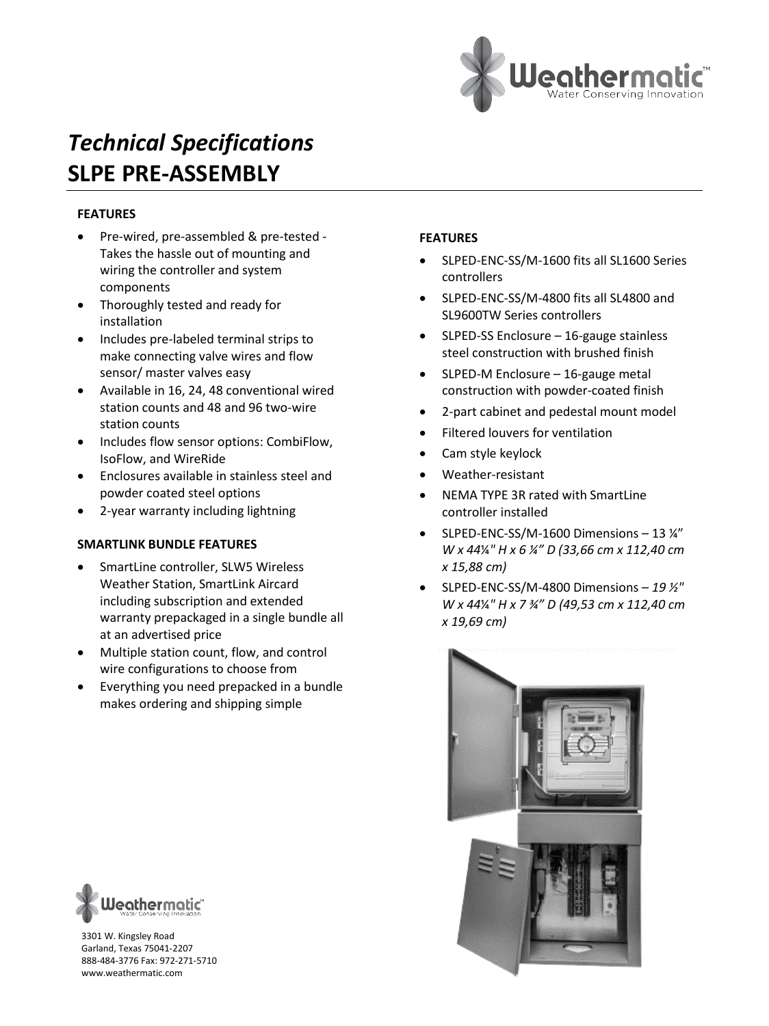

### **FEATURES**

- Pre-wired, pre-assembled & pre-tested Takes the hassle out of mounting and wiring the controller and system components
- Thoroughly tested and ready for installation
- Includes pre-labeled terminal strips to make connecting valve wires and flow sensor/ master valves easy
- Available in 16, 24, 48 conventional wired station counts and 48 and 96 two-wire station counts
- Includes flow sensor options: CombiFlow, IsoFlow, and WireRide
- Enclosures available in stainless steel and powder coated steel options
- 2-year warranty including lightning

#### **SMARTLINK BUNDLE FEATURES**

- SmartLine controller, SLW5 Wireless Weather Station, SmartLink Aircard including subscription and extended warranty prepackaged in a single bundle all at an advertised price
- Multiple station count, flow, and control wire configurations to choose from
- Everything you need prepacked in a bundle makes ordering and shipping simple

# Jeathermatic''

3301 W. Kingsley Road Garland, Texas 75041-2207 888-484-3776 Fax: 972-271-5710 www.weathermatic.com

#### **FEATURES**

- SLPED-ENC-SS/M-1600 fits all SL1600 Series controllers
- SLPED-ENC-SS/M-4800 fits all SL4800 and SL9600TW Series controllers
- SLPED-SS Enclosure 16-gauge stainless steel construction with brushed finish
- SLPED-M Enclosure 16-gauge metal construction with powder-coated finish
- 2-part cabinet and pedestal mount model
- Filtered louvers for ventilation
- Cam style keylock
- Weather-resistant
- NEMA TYPE 3R rated with SmartLine controller installed
- SLPED-ENC-SS/M-1600 Dimensions 13 ¼" *W x 44*¼*" H x 6 ¼" D (33,66 cm x 112,40 cm x 15,88 cm)*
- SLPED-ENC-SS/M-4800 Dimensions *19 ½" W x 44*¼*" H x 7 ¾" D (49,53 cm x 112,40 cm x 19,69 cm)*

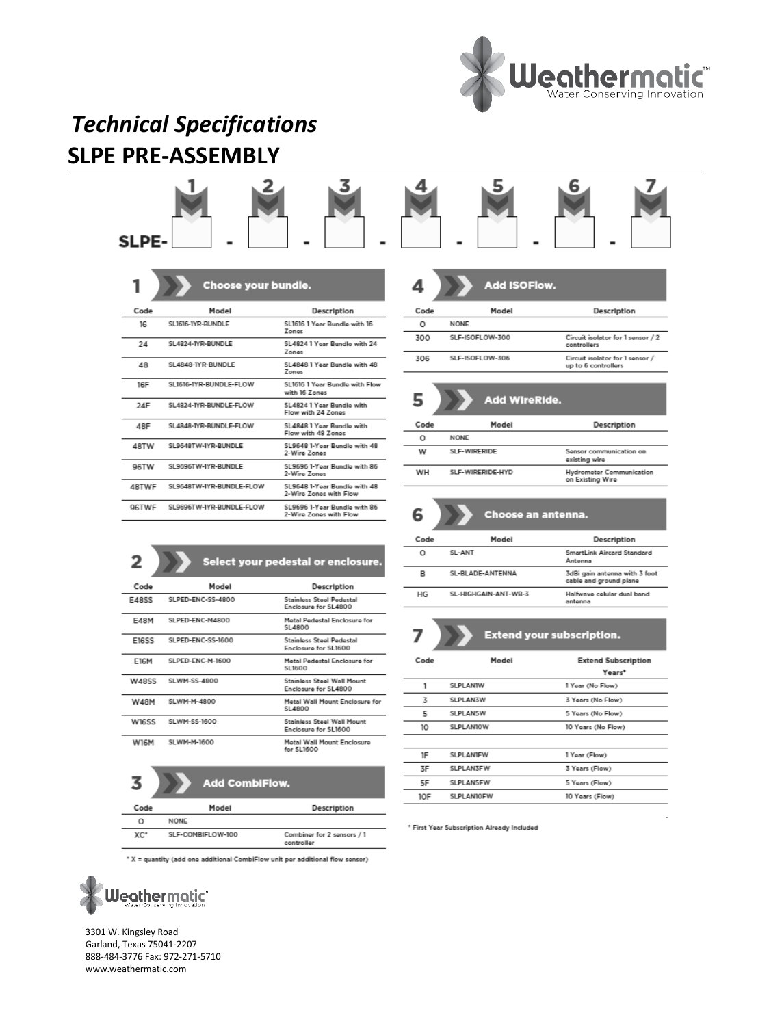



6

|              | Choose your bundle.      |                                                        |
|--------------|--------------------------|--------------------------------------------------------|
| Code         | Model                    | Description                                            |
| 16           | SL1616-1YR-RUNDLE        | SL1616 1 Year Rundle with 16<br><b>Zones</b>           |
| 24           | SI 4824-TYR-RUNDLE       | SI 4824 1 Year Rundle with 24<br>Zones                 |
| 48           | SL4848-TYR-RUNDLE        | SL4848 1 Year Rundle with 48<br>Zones                  |
| 16F          | SL1616-1YR-BUNDLE-FLOW   | SL1616 1 Year Bundle with Flow<br>with 16 Zones        |
| 24F          | SL4824-TYR-BUNDLE-FLOW   | SL4824 1 Year Bundle with<br>Flow with 24 Zones        |
| 48F          | SL4848-TYR-BUNDLE-FLOW   | SL4848 1 Year Bundle with<br>Flow with 48 Zones        |
| <b>ARTW</b>  | SL9648TW-IYR-BUNDLE      | SL9648 1-Year Bundle with 48<br>2-Wire Zones           |
| 96TW         | SL9696TW-IYR-BUNDLE      | SL9696 1-Year Bundle with 86<br>2-Wire Zones           |
| <b>ARTWF</b> | SL9648TW-IYR-BUNDLE-FLOW | SL9648 1-Year Bundle with 48<br>2-Wire Zones with Flow |
| <b>96TWF</b> | SL9696TW-IYR-BUNDLE-FLOW | SL9696 1-Year Bundle with 86<br>2-Wire Zones with Flow |
|              |                          |                                                        |

| 2            |                   | Select your pedestal or enclosure.                        |
|--------------|-------------------|-----------------------------------------------------------|
| Code         | Model             | Description                                               |
| <b>E48SS</b> | SLPED-ENC-SS-4800 | <b>Stainlass Steel Pedestal</b><br>Enclosure for SL4800   |
| <b>E48M</b>  | SLPED-ENC-M4800   | Matal Padastal Enclosura for<br>SL4800                    |
| <b>E16SS</b> | SLPED-ENC-SS-1600 | <b>Stainlass Steel Pedestal</b><br>Enclosure for SL1600   |
| <b>E16M</b>  | SLPED-ENC-M-1600  | Matal Padastal Enclosura for<br>SL1600                    |
| <b>W48SS</b> | SLWM-SS-4800      | <b>Stainless Steel Wall Mount</b><br>Enclosure for SL4800 |
| W48M         | SI WM-M-4800      | Matal Wall Mount Enclosure for<br>SI 4800                 |
| W16SS        | SLWM-SS-1600      | Stainless Steel Wall Mount<br>Enclosure for SL1600        |
| W16M         | SLWM-M-1600       | Metal Wall Mount Enclosure<br>for SL1600                  |

|       |             | <b>Add CombiFlow.</b> |     |    |             |     |
|-------|-------------|-----------------------|-----|----|-------------|-----|
| Code  |             | Model                 |     |    | Description |     |
| Ω     | <b>NONE</b> |                       |     |    |             |     |
| ----- |             | .                     | $-$ | __ |             | . . |

| XC* | SLF-COMBIFLOW-100 | Combiner for 2 sensors / 1<br>controller |  |
|-----|-------------------|------------------------------------------|--|
|     |                   |                                          |  |

\* X = quantity (add one additional CombiFlow unit per additional flow sensor)



3301 W. Kingsley Road Garland, Texas 75041-2207 888-484-3776 Fax: 972-271-5710 www.weathermatic.com

| <b>Add ISOFlow.</b><br>4 |                 |                                                        |  |  |
|--------------------------|-----------------|--------------------------------------------------------|--|--|
| Code                     | Model           | Description                                            |  |  |
| Ω                        | <b>NONE</b>     |                                                        |  |  |
| 300                      | SLF-ISOFLOW-300 | Circuit isolator for 1 sensor / 2<br>controllers       |  |  |
| 306                      | SLF-ISOFLOW-306 | Circuit isolator for 1 sensor /<br>up to 6 controllers |  |  |

5 Add WireRide. Code Model Description  $\circ$ **NONE** W SLF-WIRERIDE Sensor communication on existing wire WH SLF-WIRERIDE-HYD **Hydrometer Communication**<br>on Existing Wire

| <b>Choose an anten</b> |
|------------------------|
|                        |

| Code | Model                | Description                                             |
|------|----------------------|---------------------------------------------------------|
| Ο    | SI-ANT               | SmartLink Aircard Standard<br>Antonna                   |
| R    | SL-RLADE-ANTENNA     | 3dBi gain antenna with 3 foot<br>cable and ground plane |
| HG   | SL-HIGHGAIN-ANT-WR-3 | Halfwaye celular dual band<br>antenna                   |

na.

|      | <u>Extend</u> your subscription. |                                      |  |  |  |
|------|----------------------------------|--------------------------------------|--|--|--|
| Code | Model                            | <b>Extend Subscription</b><br>Years* |  |  |  |
| 1    | SLPLANIW                         | 1 Year (No Flow)                     |  |  |  |
| 3    | <b>SLPLAN3W</b>                  | 3 Years (No Flow)                    |  |  |  |
| 5    | <b>SLPLAN5W</b>                  | 5 Years (No Flow)                    |  |  |  |
| 10   | <b>SLPLAN10W</b>                 | 10 Years (No Flow)                   |  |  |  |
|      |                                  |                                      |  |  |  |
| 1F   | SLPLANIFW                        | 1 Year (Flow)                        |  |  |  |
| 3F   | SLPLAN3FW                        | 3 Years (Flow)                       |  |  |  |
| 5F   | <b>SLPLAN5FW</b>                 | 5 Years (Flow)                       |  |  |  |
| 10F  | SLPLAN10FW                       | 10 Years (Flow)                      |  |  |  |
|      |                                  |                                      |  |  |  |

\* First Year Subscription Already Included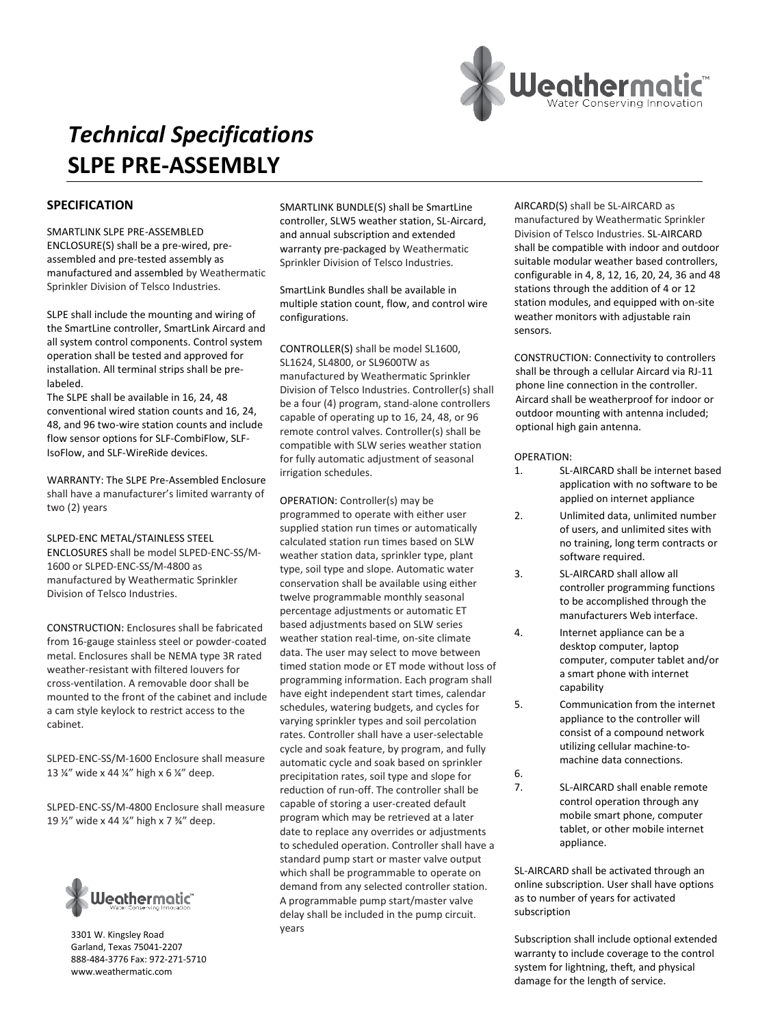

#### **SPECIFICATION**

SMARTLINK SLPE PRE-ASSEMBLED ENCLOSURE(S) shall be a pre-wired, preassembled and pre-tested assembly as manufactured and assembled by Weathermatic Sprinkler Division of Telsco Industries.

SLPE shall include the mounting and wiring of the SmartLine controller, SmartLink Aircard and all system control components. Control system operation shall be tested and approved for installation. All terminal strips shall be prelabeled.

The SLPE shall be available in 16, 24, 48 conventional wired station counts and 16, 24, 48, and 96 two-wire station counts and include flow sensor options for SLF-CombiFlow, SLF-IsoFlow, and SLF-WireRide devices.

WARRANTY: The SLPE Pre-Assembled Enclosure shall have a manufacturer's limited warranty of two (2) years

SLPED-ENC METAL/STAINLESS STEEL ENCLOSURES shall be model SLPED-ENC-SS/M-1600 or SLPED-ENC-SS/M-4800 as manufactured by Weathermatic Sprinkler Division of Telsco Industries.

CONSTRUCTION: Enclosures shall be fabricated from 16-gauge stainless steel or powder-coated metal. Enclosures shall be NEMA type 3R rated weather-resistant with filtered louvers for cross-ventilation. A removable door shall be mounted to the front of the cabinet and include a cam style keylock to restrict access to the cabinet.

SLPED-ENC-SS/M-1600 Enclosure shall measure 13 ¼" wide x 44 ¼" high x 6 ¼" deep.

SLPED-ENC-SS/M-4800 Enclosure shall measure 19 ½" wide x 44 ¼" high x 7 ¾" deep.



3301 W. Kingsley Road Garland, Texas 75041-2207 888-484-3776 Fax: 972-271-5710 www.weathermatic.com

SMARTLINK BUNDLE(S) shall be SmartLine controller, SLW5 weather station, SL-Aircard, and annual subscription and extended warranty pre-packaged by Weathermatic Sprinkler Division of Telsco Industries.

SmartLink Bundles shall be available in multiple station count, flow, and control wire configurations.

CONTROLLER(S) shall be model SL1600, SL1624, SL4800, or SL9600TW as manufactured by Weathermatic Sprinkler Division of Telsco Industries. Controller(s) shall be a four (4) program, stand-alone controllers capable of operating up to 16, 24, 48, or 96 remote control valves. Controller(s) shall be compatible with SLW series weather station for fully automatic adjustment of seasonal irrigation schedules.

OPERATION: Controller(s) may be programmed to operate with either user supplied station run times or automatically calculated station run times based on SLW weather station data, sprinkler type, plant type, soil type and slope. Automatic water conservation shall be available using either twelve programmable monthly seasonal percentage adjustments or automatic ET based adjustments based on SLW series weather station real-time, on-site climate data. The user may select to move between timed station mode or ET mode without loss of programming information. Each program shall have eight independent start times, calendar schedules, watering budgets, and cycles for varying sprinkler types and soil percolation rates. Controller shall have a user-selectable cycle and soak feature, by program, and fully automatic cycle and soak based on sprinkler precipitation rates, soil type and slope for reduction of run-off. The controller shall be capable of storing a user-created default program which may be retrieved at a later date to replace any overrides or adjustments to scheduled operation. Controller shall have a standard pump start or master valve output which shall be programmable to operate on demand from any selected controller station. A programmable pump start/master valve delay shall be included in the pump circuit. years

AIRCARD(S) shall be SL-AIRCARD as manufactured by Weathermatic Sprinkler Division of Telsco Industries. SL-AIRCARD shall be compatible with indoor and outdoor suitable modular weather based controllers, configurable in 4, 8, 12, 16, 20, 24, 36 and 48 stations through the addition of 4 or 12 station modules, and equipped with on-site weather monitors with adjustable rain sensors.

CONSTRUCTION: Connectivity to controllers shall be through a cellular Aircard via RJ-11 phone line connection in the controller. Aircard shall be weatherproof for indoor or outdoor mounting with antenna included; optional high gain antenna.

#### OPERATION:

- 1. SL-AIRCARD shall be internet based application with no software to be applied on internet appliance
- 2. Unlimited data, unlimited number of users, and unlimited sites with no training, long term contracts or software required.
- 3. SL-AIRCARD shall allow all controller programming functions to be accomplished through the manufacturers Web interface.
- 4. Internet appliance can be a desktop computer, laptop computer, computer tablet and/or a smart phone with internet capability
- 5. Communication from the internet appliance to the controller will consist of a compound network utilizing cellular machine-tomachine data connections. 6.
- 7. SL-AIRCARD shall enable remote control operation through any mobile smart phone, computer tablet, or other mobile internet appliance.

SL-AIRCARD shall be activated through an online subscription. User shall have options as to number of years for activated subscription

Subscription shall include optional extended warranty to include coverage to the control system for lightning, theft, and physical damage for the length of service.